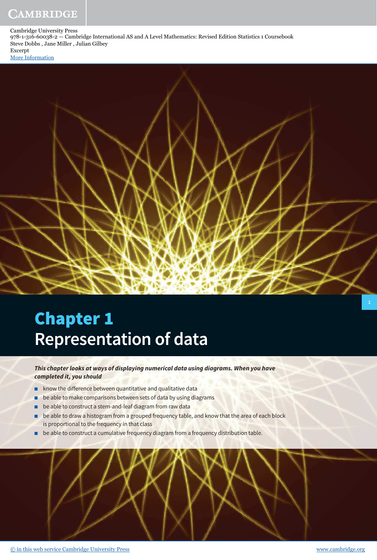# CAMBRIDGE

Cambridge University Press 978-1-316-60038-2 — Cambridge International AS and A Level Mathematics: Revised Edition Statistics 1 Coursebook Steve Dobbs , Jane Miller , Julian Gilbey Excerpt [More Information](www.cambridge.org/9781316600382)

# Chapter 1 **Representation of data**

# **This chapter looks at ways of displaying numerical data using diagrams. When you have completed it, you should**

- know the difference between quantitative and qualitative data
- be able to make comparisons between sets of data by using diagrams
- be able to construct a stem-and-leaf diagram from raw data
- be able to draw a histogram from a grouped frequency table, and know that the area of each block is proportional to the frequency in that class
- be able to construct a cumulative frequency diagram from a frequency distribution table.

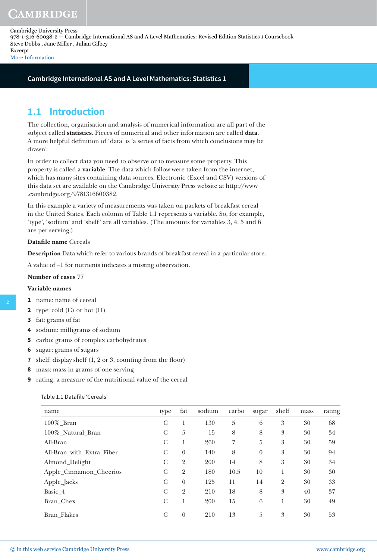**Cambridge International AS and A Level Mathematics: Statistics 1**

# **1.1 Introduction**

The collection, organisation and analysis of numerical information are all part of the subject called **statistics**. Pieces of numerical and other information are called **data**. A more helpful definition of 'data' is 'a series of facts from which conclusions may be drawn'.

In order to collect data you need to observe or to measure some property. This property is called a **variable**. The data which follow were taken from the internet, which has many sites containing data sources. Electronic (Excel and CSV) versions of this data set are available on the Cambridge University Press website at http://www .cambridge.org/9781316600382.

In this example a variety of measurements was taken on packets of breakfast cereal in the United States. Each column of Table 1.1 represents a variable. So, for example, 'type', 'sodium' and 'shelf' are all variables. (The amounts for variables 3, 4, 5 and 6 are per serving.)

# **Datafile name** Cereals

**Description** Data which refer to various brands of breakfast cereal in a particular store.

A value of −1 for nutrients indicates a missing observation.

# **Number of cases** 77

# **Variable names**

**2**

- **1** name: name of cereal
- **2** type: cold (C) or hot (H)
- **3** fat: grams of fat
- **4** sodium: milligrams of sodium
- **5** carbo: grams of complex carbohydrates
- **6** sugar: grams of sugars
- **7** shelf: display shelf  $(1, 2 \text{ or } 3, \text{ counting from the floor})$
- **8** mass: mass in grams of one serving
- **9** rating: a measure of the nutritional value of the cereal

|  | Table 1.1 Datafile 'Cereals' |  |
|--|------------------------------|--|
|  |                              |  |

| name                      | type         | fat            | sodium | carbo          | sugar           | shelf          | mass | rating |
|---------------------------|--------------|----------------|--------|----------------|-----------------|----------------|------|--------|
| 100%_Bran                 | C            |                | 130    | 5              | $6\phantom{.}6$ | 3              | 30   | 68     |
| 100%_Natural_Bran         | C            | 5              | 15     | 8              | 8               | 3              | 30   | 34     |
| All-Bran                  | C            | 1              | 260    | $\overline{7}$ | 5               | $\mathfrak{Z}$ | 30   | 59     |
| All-Bran_with_Extra_Fiber | C            | $\theta$       | 140    | 8              | $\theta$        | $\mathfrak{Z}$ | 30   | 94     |
| Almond_Delight            | C            | $\overline{2}$ | 200    | 14             | 8               | 3              | 30   | 34     |
| Apple_Cinnamon_Cheerios   | $\mathsf{C}$ | $\overline{2}$ | 180    | 10.5           | 10              | 1              | 30   | 30     |
| Apple_Jacks               | C            | $\theta$       | 125    | 11             | 14              | $\overline{2}$ | 30   | 33     |
| Basic 4                   | $\mathsf{C}$ | $\overline{2}$ | 210    | 18             | 8               | 3              | 40   | 37     |
| Bran_Chex                 | C            |                | 200    | 15             | 6               | 1              | 30   | 49     |
| <b>Bran Flakes</b>        | C            | $\theta$       | 210    | 13             | 5               | 3              | 30   | 53     |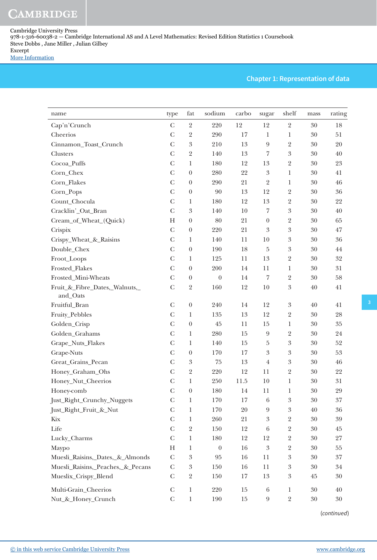# **Chapter 1: Representation of data**

| name                              | type          | fat                        | sodium           | carbo  | sugar                   | shelf                      | mass   | rating            |
|-----------------------------------|---------------|----------------------------|------------------|--------|-------------------------|----------------------------|--------|-------------------|
| Cap'n'Crunch                      | $\mathbf C$   | $\overline{2}$             | 220              | 12     | 12                      | $\sqrt{2}$                 | 30     | 18                |
| Cheerios                          | $\mathcal{C}$ | $\overline{2}$             | 290              | 17     | $\mathbf 1$             | $\mathbf 1$                | 30     | 51                |
| Cinnamon_Toast_Crunch             | $\mathcal{C}$ | $\overline{3}$             | 210              | 13     | $\overline{9}$          | $\sqrt{2}$                 | 30     | 20                |
| Clusters                          | $\mathcal{C}$ | $\overline{2}$             | 140              | 13     | $\overline{7}$          | $\boldsymbol{\mathcal{S}}$ | 30     | $40\,$            |
| Cocoa_Puffs                       | $\mathcal{C}$ | $\mathbf{1}$               | 180              | 12     | 13                      | $\sqrt{2}$                 | 30     | 23                |
| Corn_Chex                         | $\mathcal{C}$ | $\boldsymbol{0}$           | 280              | 22     | $\boldsymbol{3}$        | $\mathbf{1}$               | 30     | 41                |
| Corn_Flakes                       | $\mathsf{C}$  | $\boldsymbol{0}$           | 290              | 21     | $\overline{2}$          | $\mathbf{1}$               | 30     | $\sqrt{46}$       |
| Corn_Pops                         | $\mathcal{C}$ | $\boldsymbol{0}$           | 90               | 13     | 12                      | $\overline{2}$             | 30     | 36                |
| Count_Chocula                     | $\mathcal{C}$ | $\mathbf{1}$               | 180              | 12     | 13                      | $\sqrt{2}$                 | 30     | $22\,$            |
| Cracklin'_Oat_Bran                | $\mathbf C$   | $\boldsymbol{3}$           | 140              | 10     | 7                       | $\boldsymbol{\mathrm{3}}$  | 30     | $40\,$            |
| Cream_of_Wheat_(Quick)            | H             | $\boldsymbol{0}$           | 80               | 21     | $\boldsymbol{0}$        | $\sqrt{2}$                 | 30     | 65                |
| Crispix                           | $\mathcal{C}$ | $\boldsymbol{0}$           | 220              | 21     | $\boldsymbol{3}$        | $\boldsymbol{\mathrm{3}}$  | 30     | $47\,$            |
| Crispy_Wheat_&_Raisins            | $\mathcal{C}$ | $\mathbf{1}$               | 140              | 11     | $10\,$                  | $\boldsymbol{\mathrm{3}}$  | 30     | 36                |
| Double_Chex                       | $\mathcal{C}$ | $\boldsymbol{0}$           | 190              | 18     | $\bf 5$                 | $\boldsymbol{\mathrm{3}}$  | 30     | $\bf 44$          |
| Froot_Loops                       | $\mathsf{C}$  | 1                          | 125              | 11     | 13                      | $\sqrt{2}$                 | 30     | $32\,$            |
| Frosted_Flakes                    | $\mathcal{C}$ | $\boldsymbol{0}$           | 200              | 14     | 11                      | $\mathbf{1}$               | 30     | 31                |
| Frosted_Mini-Wheats               | $\mathcal{C}$ | $\boldsymbol{0}$           | $\boldsymbol{0}$ | 14     | 7                       | $\sqrt{2}$                 | 30     | $58\,$            |
| Fruit_&_Fibre_Dates,_Walnuts,_    | $\mathcal{C}$ | $\sqrt{2}$                 | 160              | 12     | 10                      | $\boldsymbol{\mathrm{3}}$  | 40     | 41                |
| and_Oats                          |               |                            |                  |        |                         |                            |        |                   |
| Fruitful_Bran                     | $\mathcal{C}$ | $\boldsymbol{0}$           | 240              | 14     | 12                      | $\boldsymbol{3}$           | 40     | 41                |
| Fruity_Pebbles                    | $\mathcal{C}$ | $\mathbf{1}$               | 135              | 13     | 12                      | $\sqrt{2}$                 | 30     | $\ensuremath{28}$ |
| Golden_Crisp                      | $\mathbf C$   | $\boldsymbol{0}$           | $45\,$           | 11     | 15                      | $\mathbf 1$                | 30     | $35\,$            |
| Golden_Grahams                    | $\mathsf{C}$  | $\mathbf{1}$               | 280              | 15     | $\boldsymbol{9}$        | $\sqrt{2}$                 | 30     | 24                |
| Grape_Nuts_Flakes                 | $\mathcal{C}$ | $\mathbf{1}$               | 140              | 15     | 5                       | $\boldsymbol{\mathrm{3}}$  | 30     | $52\,$            |
| Grape-Nuts                        | $\mathcal{C}$ | $\boldsymbol{0}$           | 170              | 17     | 3                       | $\boldsymbol{\mathrm{3}}$  | 30     | 53                |
| Great_Grains_Pecan                | $\mathcal{C}$ | $\boldsymbol{\mathcal{S}}$ | $75\,$           | 13     | $\overline{\mathbf{4}}$ | $\boldsymbol{\mathrm{3}}$  | 30     | $\sqrt{46}$       |
| Honey_Graham_Ohs                  | $\mathsf{C}$  | $\overline{2}$             | 220              | 12     | 11                      | $\overline{2}$             | 30     | 22                |
| Honey_Nut_Cheerios                | $\mathcal{C}$ | $\,1$                      | 250              | 11.5   | 10                      | $\mathbf{1}$               | 30     | 31                |
| Honey-comb                        | $\mathcal{C}$ | $\boldsymbol{0}$           | 180              | 14     | 11                      | $\mathbf 1$                | 30     | 29                |
| Just_Right_Crunchy_Nuggets        | $\mathcal{C}$ | 1                          | 170              | 17     | 6                       | $\boldsymbol{3}$           | 30     | $37\,$            |
| Just_Right_Fruit_&_Nut            | $\mathbf C$   | $\mathbf{1}$               | 170              | 20     | $\boldsymbol{9}$        | $\boldsymbol{\mathrm{3}}$  | 40     | 36                |
| Kix                               | $\mathcal{C}$ | 1                          | 260              | 21     | $\boldsymbol{3}$        | $\mathbf 2$                | 30     | 39                |
| Life                              | $\mathcal{C}$ | $\overline{2}$             | 150              | 12     | 6                       | $\overline{2}$             | 30     | 45                |
| Lucky_Charms                      | $\mathsf{C}$  | $\mathbf 1$                | 180              | 12     | 12                      | $\sqrt{2}$                 | 30     | $27\,$            |
| Maypo                             | H             | 1                          | $\boldsymbol{0}$ | 16     | $\boldsymbol{3}$        | $\mathbf 2$                | 30     | $55\,$            |
| Muesli_Raisins,_Dates,_&_Almonds  | $\mathcal{C}$ | $\boldsymbol{\mathcal{S}}$ | 95               | 16     | 11                      | $\boldsymbol{\mathrm{3}}$  | 30     | $37\,$            |
| Muesli_Raisins,_Peaches,_&_Pecans | $\mathcal{C}$ | $\boldsymbol{\mathrm{3}}$  | 150              | 16     | 11                      | $\boldsymbol{3}$           | 30     | 34                |
| Mueslix_Crispy_Blend              | $\mathcal{C}$ | $\sqrt{2}$                 | 150              | 17     | 13                      | $\boldsymbol{3}$           | 45     | $30\,$            |
| Multi-Grain_Cheerios              | $\mathsf{C}$  | $\mathbf 1$                | 220              | $15\,$ | $\,6\,$                 | $\mathbf{1}$               | 30     | $40\,$            |
| Nut_&_Honey_Crunch                | $\mathsf{C}$  | $\mathbf 1$                | 190              | $15\,$ | $\boldsymbol{9}$        | $\overline{2}$             | $30\,$ | $30\,$            |

(continued)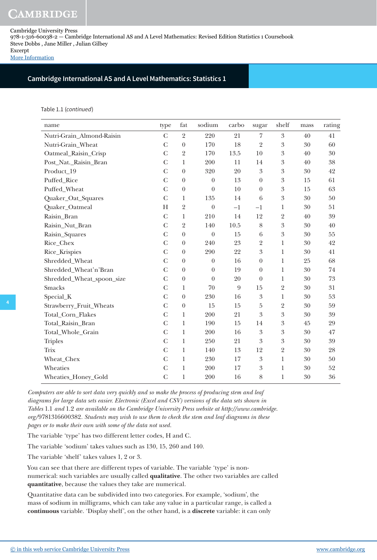# CAMBRIDGE

Cambridge University Press 978-1-316-60038-2 — Cambridge International AS and A Level Mathematics: Revised Edition Statistics 1 Coursebook Steve Dobbs , Jane Miller , Julian Gilbey Excerpt

[More Information](www.cambridge.org/9781316600382)

# **Cambridge International AS and A Level Mathematics: Statistics 1**

Table 1.1 (continued)

| name                      | type           | fat              | sodium           | carbo          | sugar            | shelf                      | mass | rating |
|---------------------------|----------------|------------------|------------------|----------------|------------------|----------------------------|------|--------|
| Nutri-Grain_Almond-Raisin | $\overline{C}$ | $\overline{2}$   | 220              | 21             | $\overline{7}$   | 3                          | 40   | 41     |
| Nutri-Grain_Wheat         | $\mathcal{C}$  | $\boldsymbol{0}$ | 170              | 18             | $\overline{2}$   | $\overline{3}$             | 30   | 60     |
| Oatmeal_Raisin_Crisp      | $\overline{C}$ | $\overline{2}$   | 170              | 13.5           | $10\,$           | $\boldsymbol{\mathrm{3}}$  | 40   | 30     |
| Post_Nat._Raisin_Bran     | $\mathbf C$    | 1                | 200              | 11             | 14               | $\mathfrak{Z}$             | 40   | 38     |
| Product_19                | $\overline{C}$ | $\overline{0}$   | 320              | 20             | 3                | $\boldsymbol{3}$           | 30   | 42     |
| Puffed_Rice               | $\mathcal{C}$  | $\boldsymbol{0}$ | $\boldsymbol{0}$ | 13             | $\boldsymbol{0}$ | $\boldsymbol{\mathrm{3}}$  | 15   | 61     |
| Puffed_Wheat              | $\overline{C}$ | $\boldsymbol{0}$ | $\boldsymbol{0}$ | 10             | $\boldsymbol{0}$ | $\boldsymbol{\mathrm{3}}$  | 15   | 63     |
| Quaker_Oat_Squares        | $\mathbf C$    | 1                | 135              | 14             | $\,6\,$          | $\boldsymbol{\mathrm{3}}$  | 30   | 50     |
| Quaker_Oatmeal            | H              | $\overline{2}$   | $\boldsymbol{0}$ | $-1$           | $-1$             | 1                          | 30   | 51     |
| Raisin_Bran               | $\mathcal{C}$  | $\mathbf{1}$     | 210              | 14             | 12               | $\overline{2}$             | 40   | 39     |
| Raisin_Nut_Bran           | $\mathcal{C}$  | $\overline{2}$   | 140              | 10.5           | $8\,$            | 3                          | 30   | 40     |
| Raisin_Squares            | $\mathcal{C}$  | $\boldsymbol{0}$ | $\theta$         | 15             | $\,6$            | 3                          | 30   | 55     |
| Rice_Chex                 | $\mathcal{C}$  | $\boldsymbol{0}$ | 240              | 23             | $\overline{2}$   | $\mathbf{1}$               | 30   | 42     |
| Rice_Krispies             | $\mathcal{C}$  | $\theta$         | 290              | 22             | $\mathfrak{Z}$   | $\mathbf{1}$               | 30   | 41     |
| Shredded_Wheat            | $\mathcal{C}$  | $\theta$         | $\boldsymbol{0}$ | 16             | $\boldsymbol{0}$ | $\mathbf{1}$               | 25   | 68     |
| Shredded_Wheat'n'Bran     | $\overline{C}$ | $\boldsymbol{0}$ | $\boldsymbol{0}$ | 19             | $\boldsymbol{0}$ | $\mathbf{1}$               | 30   | 74     |
| Shredded_Wheat_spoon_size | $\mathcal{C}$  | $\boldsymbol{0}$ | $\theta$         | 20             | $\boldsymbol{0}$ | $\mathbf{1}$               | 30   | $73\,$ |
| <b>Smacks</b>             | $\mathbf C$    | 1                | 70               | $\overline{9}$ | 15               | $\overline{2}$             | 30   | 31     |
| Special_K                 | $\mathcal{C}$  | $\boldsymbol{0}$ | 230              | 16             | $\mathfrak{Z}$   | $\mathbf{1}$               | 30   | 53     |
| Strawberry_Fruit_Wheats   | $\mathcal{C}$  | $\boldsymbol{0}$ | 15               | 15             | $\bf 5$          | $\overline{2}$             | 30   | 59     |
| Total_Corn_Flakes         | $\mathcal{C}$  | 1                | 200              | 21             | 3                | $\overline{3}$             | 30   | 39     |
| Total_Raisin_Bran         | $\overline{C}$ | $\mathbf{1}$     | 190              | 15             | 14               | $\sqrt{3}$                 | 45   | 29     |
| Total_Whole_Grain         | $\mathcal{C}$  | $\mathbf{1}$     | 200              | 16             | $\sqrt{3}$       | $\overline{3}$             | 30   | 47     |
| <b>Triples</b>            | $\overline{C}$ | $\mathbf{1}$     | 250              | 21             | $\mathfrak{Z}$   | $\boldsymbol{\mathcal{S}}$ | 30   | 39     |
| <b>Trix</b>               | $\mathsf{C}$   | 1                | 140              | 13             | 12               | $\overline{2}$             | 30   | 28     |
| Wheat_Chex                | $\overline{C}$ | $\mathbf{1}$     | 230              | 17             | $\sqrt{3}$       | $\,1$                      | 30   | 50     |
| Wheaties                  | $\mathcal{C}$  | $\mathbf{1}$     | 200              | 17             | $\mathfrak{Z}$   | $\mathbf 1$                | 30   | 52     |
| Wheaties_Honey_Gold       | $\mathcal{C}$  | $\mathbf{1}$     | 200              | 16             | 8                | $\mathbf{1}$               | 30   | 36     |

*Computers are able to sort data very quickly and so make the process of producing stem and leaf diagrams for large data sets easier. Electronic (Excel and CSV) versions of the data sets shown in Tables* 1.1 *and* 1.2 *are available on the Cambridge University Press website at http://www.cambridge. org/*9781316600382*. Students may wish to use them to check the stem and leaf diagrams in these pages or to make their own with some of the data not used.*

The variable 'type' has two different letter codes, H and C.

The variable 'sodium' takes values such as 130, 15, 260 and 140.

The variable 'shelf' takes values 1, 2 or 3.

You can see that there are different types of variable. The variable 'type' is nonnumerical: such variables are usually called **qualitative**. The other two variables are called **quantitative**, because the values they take are numerical.

Quantitative data can be subdivided into two categories. For example, 'sodium', the mass of sodium in milligrams, which can take any value in a particular range, is called a **continuous** variable. 'Display shelf', on the other hand, is a **discrete** variable: it can only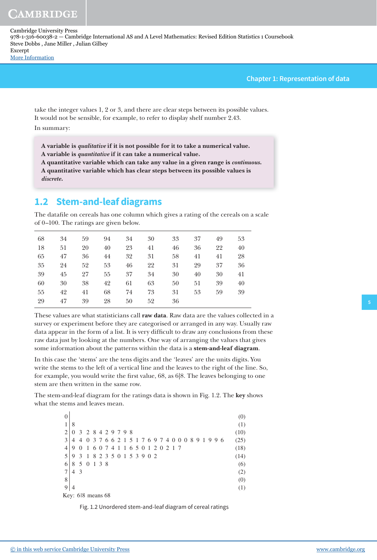**Chapter 1: Representation of data**

take the integer values 1, 2 or 3, and there are clear steps between its possible values. It would not be sensible, for example, to refer to display shelf number 2.43. In summary:

**A variable is qualitative if it is not possible for it to take a numerical value. A variable is quantitative if it can take a numerical value.**

**A quantitative variable which can take any value in a given range is continuous. A quantitative variable which has clear steps between its possible values is discrete.**

# **1.2 Stem-and-leaf diagrams**

The datafile on cereals has one column which gives a rating of the cereals on a scale of 0–100. The ratings are given below.

| 68 | 34 | 59 | 94 | 34 | 30 | 33 | 37 | 49 | 53 |
|----|----|----|----|----|----|----|----|----|----|
| 18 | 51 | 20 | 40 | 23 | 41 | 46 | 36 | 22 | 40 |
| 65 | 47 | 36 | 44 | 32 | 31 | 58 | 41 | 41 | 28 |
| 35 | 24 | 52 | 53 | 46 | 22 | 31 | 29 | 37 | 36 |
| 39 | 45 | 27 | 55 | 37 | 34 | 30 | 40 | 30 | 41 |
| 60 | 30 | 38 | 42 | 61 | 63 | 50 | 51 | 39 | 40 |
| 55 | 42 | 41 | 68 | 74 | 73 | 31 | 53 | 59 | 39 |
| 29 | 47 | 39 | 28 | 50 | 52 | 36 |    |    |    |

These values are what statisticians call **raw data**. Raw data are the values collected in a survey or experiment before they are categorised or arranged in any way. Usually raw data appear in the form of a list. It is very difficult to draw any conclusions from these raw data just by looking at the numbers. One way of arranging the values that gives some information about the patterns within the data is a **stem-and-leaf diagram**.

In this case the 'stems' are the tens digits and the 'leaves' are the units digits. You write the stems to the left of a vertical line and the leaves to the right of the line. So, for example, you would write the first value,  $68$ , as  $6|8$ . The leaves belonging to one stem are then written in the same row.

The stem-and-leaf diagram for the ratings data is shown in Fig. 1.2. The **key** shows what the stems and leaves mean.

| $\theta$                    |   |                   |                   |  |  |  |                       |  |  |  |  |  |    |     |  | (0)  |  |
|-----------------------------|---|-------------------|-------------------|--|--|--|-----------------------|--|--|--|--|--|----|-----|--|------|--|
|                             | 8 |                   |                   |  |  |  |                       |  |  |  |  |  |    |     |  | (1)  |  |
| $\mathcal{D}_{\mathcal{L}}$ |   |                   | 3 2 8 4 2 9 7 9 8 |  |  |  |                       |  |  |  |  |  |    |     |  | (10) |  |
| 3                           | 4 | $\overline{4}$    | $\theta$          |  |  |  | 376621517697400089    |  |  |  |  |  | -1 | 996 |  | (25) |  |
|                             | 9 |                   | $\overline{1}$    |  |  |  | 607411650120217       |  |  |  |  |  |    |     |  | (18) |  |
|                             | 9 | 3                 | $\overline{1}$    |  |  |  | 8 2 3 5 0 1 5 3 9 0 2 |  |  |  |  |  |    |     |  | (14) |  |
| 6                           | 8 | 5                 | 0 1 3 8           |  |  |  |                       |  |  |  |  |  |    |     |  | (6)  |  |
|                             | 4 | -3                |                   |  |  |  |                       |  |  |  |  |  |    |     |  | (2)  |  |
| 8                           |   |                   |                   |  |  |  |                       |  |  |  |  |  |    |     |  | (0)  |  |
| 9                           | 4 |                   |                   |  |  |  |                       |  |  |  |  |  |    |     |  | (1)  |  |
|                             |   | Key: 618 means 68 |                   |  |  |  |                       |  |  |  |  |  |    |     |  |      |  |

Fig. 1.2 Unordered stem-and-leaf diagram of cereal ratings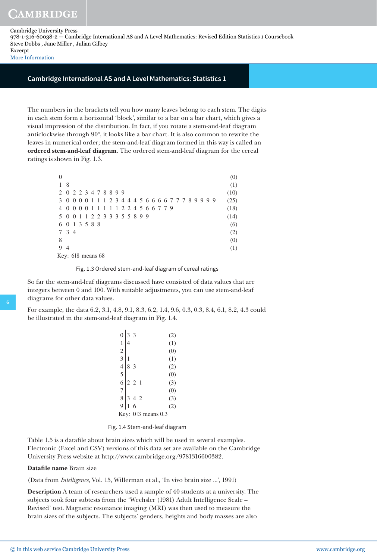[More Information](www.cambridge.org/9781316600382)

## **Cambridge International AS and A Level Mathematics: Statistics 1**

The numbers in the brackets tell you how many leaves belong to each stem. The digits in each stem form a horizontal 'block', similar to a bar on a bar chart, which gives a visual impression of the distribution. In fact, if you rotate a stem-and-leaf diagram anticlockwise through 90°, it looks like a bar chart. It is also common to rewrite the leaves in numerical order; the stem-and-leaf diagram formed in this way is called an **ordered stem-and-leaf diagram**. The ordered stem-and-leaf diagram for the cereal ratings is shown in Fig. 1.3.

| $\Omega$              |          |                     |  |           |   |   |    |                                                   |  |  |  |  |  |  |  |  | (0)  |
|-----------------------|----------|---------------------|--|-----------|---|---|----|---------------------------------------------------|--|--|--|--|--|--|--|--|------|
|                       | 8        |                     |  |           |   |   |    |                                                   |  |  |  |  |  |  |  |  | (1)  |
|                       |          | 0 2 2 3 4 7 8 8 9 9 |  |           |   |   |    |                                                   |  |  |  |  |  |  |  |  | (10) |
| 3                     |          |                     |  |           |   |   |    | 0 0 0 0 1 1 1 2 3 4 4 4 5 6 6 6 6 7 7 7 8 9 9 9 9 |  |  |  |  |  |  |  |  | (25) |
|                       |          | $0 \t0 \t0 \t0$     |  | $-1$      | 1 | 1 | -1 | 1 2 2 4 5 6 6 7 7 9                               |  |  |  |  |  |  |  |  | (18) |
|                       |          |                     |  |           |   |   |    | 0 0 1 1 2 2 3 3 3 5 5 8 9 9                       |  |  |  |  |  |  |  |  | (14) |
| 6                     | $\theta$ |                     |  | 1 3 5 8 8 |   |   |    |                                                   |  |  |  |  |  |  |  |  | (6)  |
|                       | 3 4      |                     |  |           |   |   |    |                                                   |  |  |  |  |  |  |  |  | (2)  |
| 8                     |          |                     |  |           |   |   |    |                                                   |  |  |  |  |  |  |  |  | (0)  |
| 9                     | 4        |                     |  |           |   |   |    |                                                   |  |  |  |  |  |  |  |  | (1)  |
| Key: $618$ means $68$ |          |                     |  |           |   |   |    |                                                   |  |  |  |  |  |  |  |  |      |

Fig. 1.3 Ordered stem-and-leaf diagram of cereal ratings

So far the stem-and-leaf diagrams discussed have consisted of data values that are integers between 0 and 100. With suitable adjustments, you can use stem-and-leaf diagrams for other data values.

For example, the data 6.2, 3.1, 4.8, 9.1, 8.3, 6.2, 1.4, 9.6, 0.3, 0.3, 8.4, 6.1, 8.2, 4.3 could be illustrated in the stem-and-leaf diagram in Fig. 1.4.

| 0              |                | 3     |    |                   | (2) |
|----------------|----------------|-------|----|-------------------|-----|
| 1              | $\overline{4}$ |       |    |                   | (1) |
| $\overline{c}$ |                |       |    |                   | (0) |
| $\overline{3}$ |                |       |    |                   | (1) |
| $\overline{4}$ | 8              | -3    |    |                   | (2) |
| 5              |                |       |    |                   | (0) |
| 6              |                | 2 2 1 |    |                   | (3) |
| 7              |                |       |    |                   | (0) |
| 8              | 3              | 4     | -2 |                   | (3) |
| 9              |                | 6     |    |                   | (2) |
| Key:           |                |       |    | $013$ means $0.3$ |     |

Fig. 1.4 Stem-and-leaf diagram

Table 1.5 is a datafile about brain sizes which will be used in several examples. Electronic (Excel and CSV) versions of this data set are available on the Cambridge University Press website at http://www.cambridge.org/9781316600382.

#### **Datafile name** Brain size

(Data from *Intelligence*, Vol. 15, Willerman et al., 'In vivo brain size ...', 1991)

**Description** A team of researchers used a sample of 40 students at a university. The subjects took four subtests from the 'Wechsler (1981) Adult Intelligence Scale – Revised' test. Magnetic resonance imaging (MRI) was then used to measure the brain sizes of the subjects. The subjects' genders, heights and body masses are also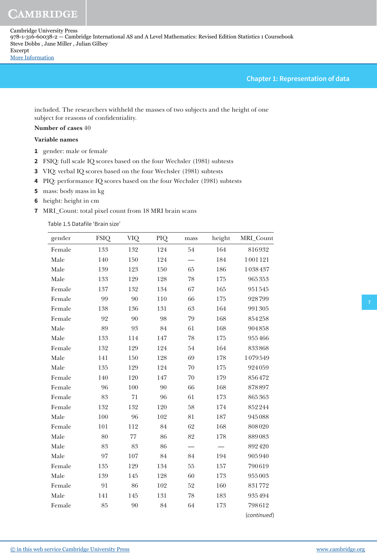## **Chapter 1: Representation of data**

included. The researchers withheld the masses of two subjects and the height of one subject for reasons of confidentiality.

# **Number of cases** 40

# **Variable names**

- **1** gender: male or female
- **2** FSIQ: full scale IQ scores based on the four Wechsler (1981) subtests
- **3** VIQ: verbal IQ scores based on the four Wechsler (1981) subtests
- **4** PIQ: performance IQ scores based on the four Wechsler (1981) subtests
- **5** mass: body mass in kg
- **6** height: height in cm
- **7** MRI\_Count: total pixel count from 18 MRI brain scans

Table 1.5 Datafile 'Brain size'

| gender | <b>FSIQ</b> | VIQ    | PIQ | mass   | height  | MRI_Count   |
|--------|-------------|--------|-----|--------|---------|-------------|
| Female | 133         | 132    | 124 | 54     | 164     | 816932      |
| Male   | 140         | 150    | 124 |        | 184     | 1001121     |
| Male   | 139         | 123    | 150 | 65     | 186     | 1038437     |
| Male   | 133         | 129    | 128 | 78     | 175     | 965353      |
| Female | 137         | 132    | 134 | 67     | 165     | 951545      |
| Female | 99          | 90     | 110 | 66     | 175     | 928799      |
| Female | 138         | 136    | 131 | 63     | 164     | 991305      |
| Female | 92          | 90     | 98  | 79     | 168     | 854258      |
| Male   | 89          | 93     | 84  | 61     | 168     | 904858      |
| Male   | 133         | 114    | 147 | 78     | 175     | 955466      |
| Female | 132         | 129    | 124 | 54     | 164     | 833868      |
| Male   | 141         | 150    | 128 | 69     | 178     | 1079549     |
| Male   | 135         | 129    | 124 | 70     | 175     | 924059      |
| Female | 140         | 120    | 147 | 70     | 179     | 856472      |
| Female | 96          | 100    | 90  | 66     | 168     | 878897      |
| Female | 83          | 71     | 96  | 61     | 173     | 865363      |
| Female | 132         | 132    | 120 | 58     | 174     | 852244      |
| Male   | 100         | 96     | 102 | 81     | 187     | 945088      |
| Female | 101         | 112    | 84  | 62     | 168     | 808020      |
| Male   | 80          | $77\,$ | 86  | 82     | 178     | 889083      |
| Male   | 83          | 83     | 86  |        |         | 892420      |
| Male   | 97          | 107    | 84  | 84     | 194     | 905940      |
| Female | 135         | 129    | 134 | $55\,$ | $157\,$ | 790619      |
| Male   | 139         | 145    | 128 | 60     | 173     | 955003      |
| Female | 91          | 86     | 102 | 52     | 160     | 831772      |
| Male   | 141         | 145    | 131 | 78     | 183     | 935494      |
| Female | 85          | 90     | 84  | 64     | 173     | 798612      |
|        |             |        |     |        |         | (continued) |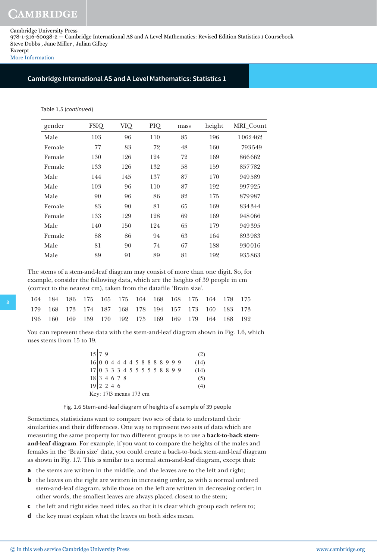[More Information](www.cambridge.org/9781316600382)

# **Cambridge International AS and A Level Mathematics: Statistics 1**

#### Table 1.5 (continued)

| gender | <b>FSIQ</b> | VIQ | PIQ | mass | height | MRI_Count |
|--------|-------------|-----|-----|------|--------|-----------|
| Male   | 103         | 96  | 110 | 85   | 196    | 1062462   |
| Female | 77          | 83  | 72  | 48   | 160    | 793549    |
| Female | 130         | 126 | 124 | 72   | 169    | 866662    |
| Female | 133         | 126 | 132 | 58   | 159    | 857782    |
| Male   | 144         | 145 | 137 | 87   | 170    | 949589    |
| Male   | 103         | 96  | 110 | 87   | 192    | 997925    |
| Male   | 90          | 96  | 86  | 82   | 175    | 879987    |
| Female | 83          | 90  | 81  | 65   | 169    | 834344    |
| Female | 133         | 129 | 128 | 69   | 169    | 948066    |
| Male   | 140         | 150 | 124 | 65   | 179    | 949395    |
| Female | 88          | 86  | 94  | 63   | 164    | 893983    |
| Male   | 81          | 90  | 74  | 67   | 188    | 930016    |
| Male   | 89          | 91  | 89  | 81   | 192    | 935863    |
|        |             |     |     |      |        |           |

The stems of a stem-and-leaf diagram may consist of more than one digit. So, for example, consider the following data, which are the heights of 39 people in cm (correct to the nearest cm), taken from the datafile 'Brain size'.

|  |  |  |  |  | 164 184 186 175 165 175 164 168 168 175 164 178 175 |  |
|--|--|--|--|--|-----------------------------------------------------|--|
|  |  |  |  |  | 179 168 173 174 187 168 178 194 157 173 160 183 173 |  |
|  |  |  |  |  | 196 160 169 159 170 192 175 169 169 179 164 188 192 |  |

You can represent these data with the stem-and-leaf diagram shown in Fig. 1.6, which uses stems from 15 to 19.

| 15 79                                   |  |  |  |  |  |  |  | (2)  |
|-----------------------------------------|--|--|--|--|--|--|--|------|
|                                         |  |  |  |  |  |  |  | (14) |
|                                         |  |  |  |  |  |  |  | (14) |
| $18\vert 3\vert 4\vert 6\vert 7\vert 8$ |  |  |  |  |  |  |  | (5)  |
| $19 2\;2\;4\;6$                         |  |  |  |  |  |  |  | (4)  |
| Key: 1713 means 173 cm                  |  |  |  |  |  |  |  |      |

Fig. 1.6 Stem-and-leaf diagram of heights of a sample of 39 people

Sometimes, statisticians want to compare two sets of data to understand their similarities and their differences. One way to represent two sets of data which are measuring the same property for two different groups is to use a **back-to-back stemand-leaf diagram**. For example, if you want to compare the heights of the males and females in the 'Brain size' data, you could create a back-to-back stem-and-leaf diagram as shown in Fig. 1.7. This is similar to a normal stem-and-leaf diagram, except that:

**a** the stems are written in the middle, and the leaves are to the left and right;

- **b** the leaves on the right are written in increasing order, as with a normal ordered stem-and-leaf diagram, while those on the left are written in decreasing order; in other words, the smallest leaves are always placed closest to the stem;
- **c** the left and right sides need titles, so that it is clear which group each refers to;
- **d** the key must explain what the leaves on both sides mean.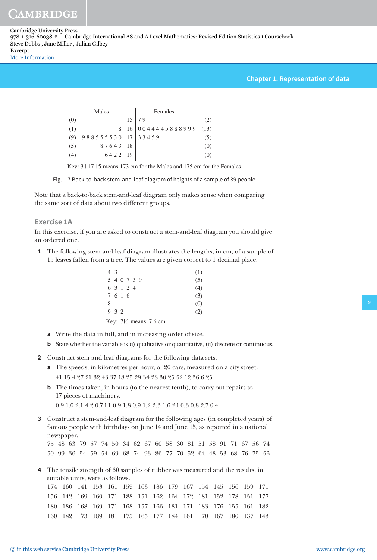# **Chapter 1: Representation of data**

|     | Males                  |    | Females           |         |  |  |  |
|-----|------------------------|----|-------------------|---------|--|--|--|
| (0) |                        |    | 79                |         |  |  |  |
| (1) |                        | 16 | 0044445888999(13) |         |  |  |  |
| (9) | 988555530   17   33459 |    |                   | $\circ$ |  |  |  |
| (5) | 87643                  | 18 |                   | (0)     |  |  |  |
| (4) | 6422                   | 19 |                   |         |  |  |  |

Key: 3 | 17 | 5 means 173 cm for the Males and 175 cm for the Females

Fig. 1.7 Back-to-back stem-and-leaf diagram of heights of a sample of 39 people

Note that a back-to-back stem-and-leaf diagram only makes sense when comparing the same sort of data about two different groups.

## **Exercise 1A**

In this exercise, if you are asked to construct a stem-and-leaf diagram you should give an ordered one.

 **1** The following stem-and-leaf diagram illustrates the lengths, in cm, of a sample of 15 leaves fallen from a tree. The values are given correct to 1 decimal place.

| $4 \begin{array}{c} 4 \overline{\smash)3} \\ 5 \overline{\smash)4} \\ 6 \overline{\smash)3} \\ 7 \overline{\smash)6} \\ 6 \overline{\smash)1} \\ 2 \overline{\smash)4} \\ 6 \overline{\smash)1} \\ 6 \overline{\smash)1} \\ 6 \overline{\smash)1} \\ 6 \overline{\smash)1} \\ 6 \overline{\smash)1} \\ 6 \overline{\smash)1} \\ 6 \overline{\smash)1} \\ 6 \overline{\smash)1} \\ 6 \overline{\smash)1} \\ 6 \overline{\smash)1} \\ 6 \overline{\smash)1} \\ 6 \overline{\smash$ |  |  |                       |  | (1) |
|----------------------------------------------------------------------------------------------------------------------------------------------------------------------------------------------------------------------------------------------------------------------------------------------------------------------------------------------------------------------------------------------------------------------------------------------------------------------------------|--|--|-----------------------|--|-----|
|                                                                                                                                                                                                                                                                                                                                                                                                                                                                                  |  |  |                       |  | (5) |
|                                                                                                                                                                                                                                                                                                                                                                                                                                                                                  |  |  |                       |  | (4) |
|                                                                                                                                                                                                                                                                                                                                                                                                                                                                                  |  |  |                       |  | (3) |
| $\begin{array}{c c} 8 & 9 & 3 & 2 \end{array}$                                                                                                                                                                                                                                                                                                                                                                                                                                   |  |  |                       |  | (0) |
|                                                                                                                                                                                                                                                                                                                                                                                                                                                                                  |  |  |                       |  | (2) |
|                                                                                                                                                                                                                                                                                                                                                                                                                                                                                  |  |  | Key: 716 means 7.6 cm |  |     |

- **a** Write the data in full, and in increasing order of size.
- **b** State whether the variable is (i) qualitative or quantitative, (ii) discrete or continuous.
- **2** Construct stem-and-leaf diagrams for the following data sets.
	- **a** The speeds, in kilometres per hour, of 20 cars, measured on a city street. 41 15 4 27 21 32 43 37 18 25 29 34 28 30 25 52 12 36 6 25
	- **b** The times taken, in hours (to the nearest tenth), to carry out repairs to 17 pieces of machinery.

0.9 1.0 2.1 4.2 0.7 l.1 0.9 1.8 0.9 1.2 2.3 1.6 2.l 0.3 0.8 2.7 0.4

 **3** Construct a stem-and-leaf diagram for the following ages (in completed years) of famous people with birthdays on June 14 and June 15, as reported in a national newspaper.

75 48 63 79 57 74 50 34 62 67 60 58 30 81 51 58 91 71 67 56 74 50 99 36 54 59 54 69 68 74 93 86 77 70 52 64 48 53 68 76 75 56

 **4** The tensile strength of 60 samples of rubber was measured and the results, in suitable units, were as follows.

|  |  | 174 160 141 153 161 159 163 186 179 167 154 145 156 159 171 |  |  |  |  |  |
|--|--|-------------------------------------------------------------|--|--|--|--|--|
|  |  | 156 142 169 160 171 188 151 162 164 172 181 152 178 151 177 |  |  |  |  |  |
|  |  | 180 186 168 169 171 168 157 166 181 171 183 176 155 161 182 |  |  |  |  |  |
|  |  | 160 182 173 189 181 175 165 177 184 161 170 167 180 137 143 |  |  |  |  |  |